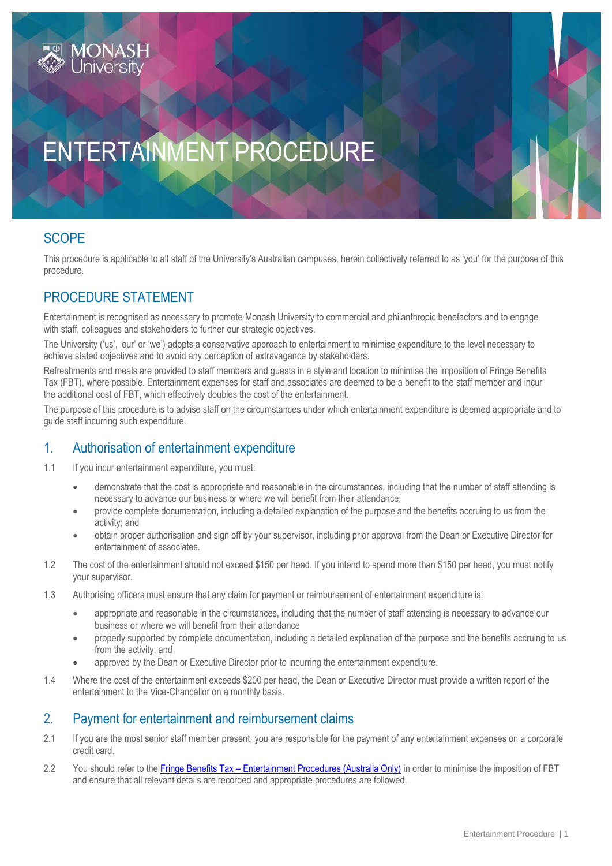# ENTERTAINMENT PROCEDURE

# **SCOPE**

This procedure is applicable to all staff of the University's Australian campuses, herein collectively referred to as 'you' for the purpose of this procedure.

### PROCEDURE STATEMENT

Entertainment is recognised as necessary to promote Monash University to commercial and philanthropic benefactors and to engage with staff, colleagues and stakeholders to further our strategic objectives.

The University ('us', 'our' or 'we') adopts a conservative approach to entertainment to minimise expenditure to the level necessary to achieve stated objectives and to avoid any perception of extravagance by stakeholders.

Refreshments and meals are provided to staff members and guests in a style and location to minimise the imposition of Fringe Benefits Tax (FBT), where possible. Entertainment expenses for staff and associates are deemed to be a benefit to the staff member and incur the additional cost of FBT, which effectively doubles the cost of the entertainment.

The purpose of this procedure is to advise staff on the circumstances under which entertainment expenditure is deemed appropriate and to guide staff incurring such expenditure.

#### 1. Authorisation of entertainment expenditure

- 1.1 If you incur entertainment expenditure, you must:
	- demonstrate that the cost is appropriate and reasonable in the circumstances, including that the number of staff attending is necessary to advance our business or where we will benefit from their attendance;
	- provide complete documentation, including a detailed explanation of the purpose and the benefits accruing to us from the activity; and
	- obtain proper authorisation and sign off by your supervisor, including prior approval from the Dean or Executive Director for entertainment of associates.
- 1.2 The cost of the entertainment should not exceed \$150 per head. If you intend to spend more than \$150 per head, you must notify your supervisor.
- 1.3 Authorising officers must ensure that any claim for payment or reimbursement of entertainment expenditure is:
	- appropriate and reasonable in the circumstances, including that the number of staff attending is necessary to advance our business or where we will benefit from their attendance
	- properly supported by complete documentation, including a detailed explanation of the purpose and the benefits accruing to us from the activity; and
	- approved by the Dean or Executive Director prior to incurring the entertainment expenditure.
- 1.4 Where the cost of the entertainment exceeds \$200 per head, the Dean or Executive Director must provide a written report of the entertainment to the Vice-Chancellor on a monthly basis.

#### 2. Payment for entertainment and reimbursement claims

- 2.1 If you are the most senior staff member present, you are responsible for the payment of any entertainment expenses on a corporate credit card.
- 2.2 You should refer to the Fringe Benefits Tax [Entertainment Procedures \(Australia Only\)](https://publicpolicydms.monash.edu/Monash/documents/1909194) in order to minimise the imposition of FBT and ensure that all relevant details are recorded and appropriate procedures are followed.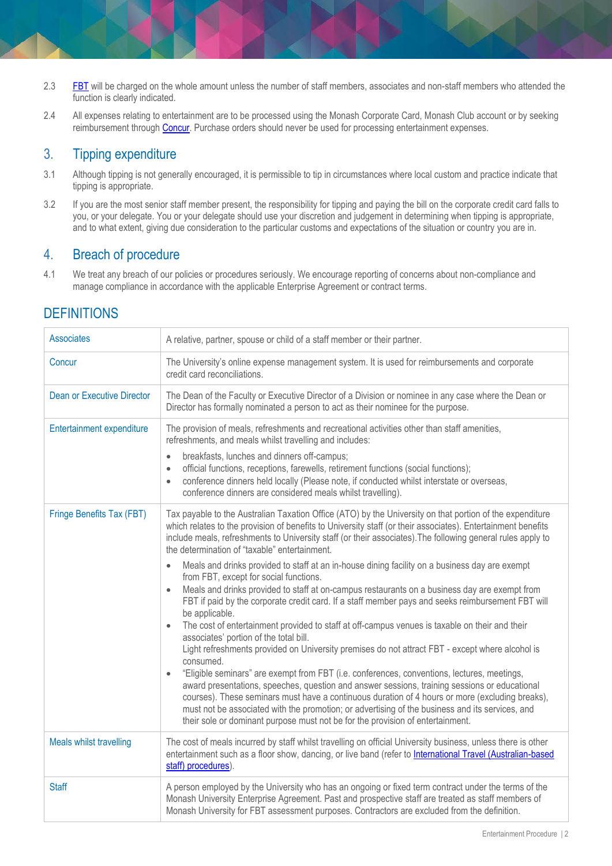- 2.3 [FBT](https://www.intranet.monash/finance/our-services/taxation/fbt/introduction-fringe-benefits-tax/general-information) will be charged on the whole amount unless the number of staff members, associates and non-staff members who attended the function is clearly indicated.
- 2.4 All expenses relating to entertainment are to be processed using the Monash Corporate Card, Monash Club account or by seeking reimbursement through [Concur.](https://my.monash.edu.au/services/expense-claims/) Purchase orders should never be used for processing entertainment expenses.

## 3. Tipping expenditure

- 3.1 Although tipping is not generally encouraged, it is permissible to tip in circumstances where local custom and practice indicate that tipping is appropriate.
- 3.2 If you are the most senior staff member present, the responsibility for tipping and paying the bill on the corporate credit card falls to you, or your delegate. You or your delegate should use your discretion and judgement in determining when tipping is appropriate, and to what extent, giving due consideration to the particular customs and expectations of the situation or country you are in.

## 4. Breach of procedure

4.1 We treat any breach of our policies or procedures seriously. We encourage reporting of concerns about non-compliance and manage compliance in accordance with the applicable Enterprise Agreement or contract terms.

# **DEFINITIONS**

| <b>Associates</b>                 | A relative, partner, spouse or child of a staff member or their partner.                                                                                                                                                                                                                                                                                                                                                                                                                                                                                                                                                                                                                                                                                                                                                                                                                                                                                                                                                                                                                                                                                                                                                                                                                                                                                                                                                                                                                                                                                             |
|-----------------------------------|----------------------------------------------------------------------------------------------------------------------------------------------------------------------------------------------------------------------------------------------------------------------------------------------------------------------------------------------------------------------------------------------------------------------------------------------------------------------------------------------------------------------------------------------------------------------------------------------------------------------------------------------------------------------------------------------------------------------------------------------------------------------------------------------------------------------------------------------------------------------------------------------------------------------------------------------------------------------------------------------------------------------------------------------------------------------------------------------------------------------------------------------------------------------------------------------------------------------------------------------------------------------------------------------------------------------------------------------------------------------------------------------------------------------------------------------------------------------------------------------------------------------------------------------------------------------|
| Concur                            | The University's online expense management system. It is used for reimbursements and corporate<br>credit card reconciliations.                                                                                                                                                                                                                                                                                                                                                                                                                                                                                                                                                                                                                                                                                                                                                                                                                                                                                                                                                                                                                                                                                                                                                                                                                                                                                                                                                                                                                                       |
| <b>Dean or Executive Director</b> | The Dean of the Faculty or Executive Director of a Division or nominee in any case where the Dean or<br>Director has formally nominated a person to act as their nominee for the purpose.                                                                                                                                                                                                                                                                                                                                                                                                                                                                                                                                                                                                                                                                                                                                                                                                                                                                                                                                                                                                                                                                                                                                                                                                                                                                                                                                                                            |
| Entertainment expenditure         | The provision of meals, refreshments and recreational activities other than staff amenities,<br>refreshments, and meals whilst travelling and includes:<br>breakfasts, lunches and dinners off-campus;<br>$\bullet$<br>official functions, receptions, farewells, retirement functions (social functions);<br>$\bullet$<br>conference dinners held locally (Please note, if conducted whilst interstate or overseas,<br>$\bullet$<br>conference dinners are considered meals whilst travelling).                                                                                                                                                                                                                                                                                                                                                                                                                                                                                                                                                                                                                                                                                                                                                                                                                                                                                                                                                                                                                                                                     |
| Fringe Benefits Tax (FBT)         | Tax payable to the Australian Taxation Office (ATO) by the University on that portion of the expenditure<br>which relates to the provision of benefits to University staff (or their associates). Entertainment benefits<br>include meals, refreshments to University staff (or their associates). The following general rules apply to<br>the determination of "taxable" entertainment.<br>Meals and drinks provided to staff at an in-house dining facility on a business day are exempt<br>$\bullet$<br>from FBT, except for social functions.<br>Meals and drinks provided to staff at on-campus restaurants on a business day are exempt from<br>$\bullet$<br>FBT if paid by the corporate credit card. If a staff member pays and seeks reimbursement FBT will<br>be applicable.<br>The cost of entertainment provided to staff at off-campus venues is taxable on their and their<br>$\bullet$<br>associates' portion of the total bill.<br>Light refreshments provided on University premises do not attract FBT - except where alcohol is<br>consumed.<br>"Eligible seminars" are exempt from FBT (i.e. conferences, conventions, lectures, meetings,<br>$\bullet$<br>award presentations, speeches, question and answer sessions, training sessions or educational<br>courses). These seminars must have a continuous duration of 4 hours or more (excluding breaks),<br>must not be associated with the promotion; or advertising of the business and its services, and<br>their sole or dominant purpose must not be for the provision of entertainment. |
| Meals whilst travelling           | The cost of meals incurred by staff whilst travelling on official University business, unless there is other<br>entertainment such as a floor show, dancing, or live band (refer to International Travel (Australian-based<br>staff) procedures).                                                                                                                                                                                                                                                                                                                                                                                                                                                                                                                                                                                                                                                                                                                                                                                                                                                                                                                                                                                                                                                                                                                                                                                                                                                                                                                    |
| <b>Staff</b>                      | A person employed by the University who has an ongoing or fixed term contract under the terms of the<br>Monash University Enterprise Agreement. Past and prospective staff are treated as staff members of<br>Monash University for FBT assessment purposes. Contractors are excluded from the definition.                                                                                                                                                                                                                                                                                                                                                                                                                                                                                                                                                                                                                                                                                                                                                                                                                                                                                                                                                                                                                                                                                                                                                                                                                                                           |